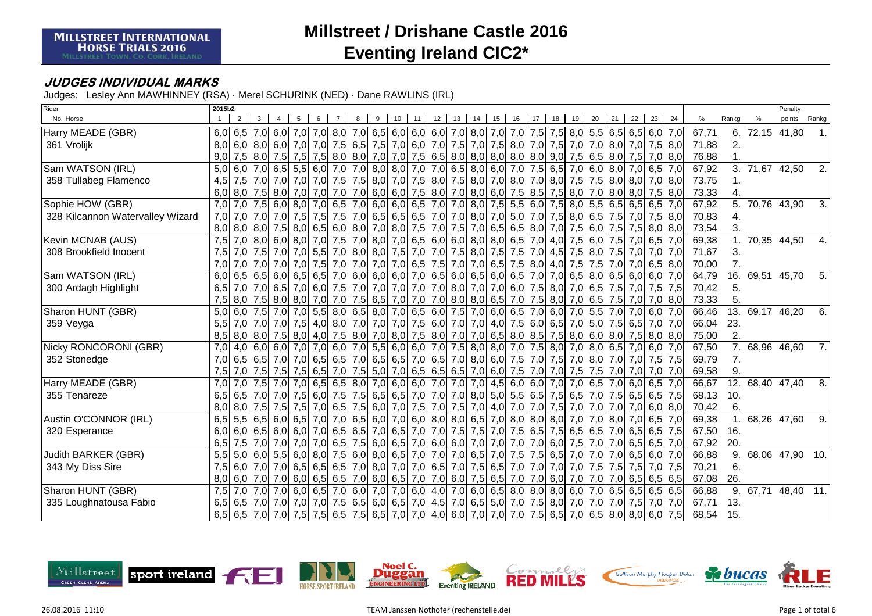#### **JUDGES INDIVIDUAL MARKS**

| Rider                            | 2015b2 |                                                                 |             |                   |                                       |  |    |    |                 |                                                             |    |    |           |    |    |    |    |    |                                                                                                         |                                                                                                                        |     |       |                  |                            | Penalty         |              |
|----------------------------------|--------|-----------------------------------------------------------------|-------------|-------------------|---------------------------------------|--|----|----|-----------------|-------------------------------------------------------------|----|----|-----------|----|----|----|----|----|---------------------------------------------------------------------------------------------------------|------------------------------------------------------------------------------------------------------------------------|-----|-------|------------------|----------------------------|-----------------|--------------|
| No. Horse                        |        |                                                                 |             |                   |                                       |  | 10 | 11 | 12 <sup>1</sup> | 13                                                          | 14 | 15 | 16        | 17 | 18 | 19 | 20 | 21 | 22                                                                                                      | 23                                                                                                                     | 24  | %     | Rankg            |                            | points          | Rankg        |
| Harry MEADE (GBR)                |        | 6,0 6,5 7,0 6,0 7,0 7,0 8,0 7,0 6,5 6,0 6,0 6,0 7,0 8,0 7,0 7,0 |             |                   |                                       |  |    |    |                 |                                                             |    |    |           |    |    |    |    |    |                                                                                                         | 7,5 7,5 8,0 5,5 6,5 6,5 6,0 7,0                                                                                        |     | 67,71 |                  | 6. 72,15 41,80             |                 |              |
| 361 Vrolijk                      |        |                                                                 |             |                   |                                       |  |    |    |                 |                                                             |    |    |           |    |    |    |    |    |                                                                                                         | 8,0 6,0 8,0 6,0 7,0 7,0 7,0 7,5 6,5 7,5 7,0 6,0 7,0 7,5 7,0 7,5 8,0 7,0 7,5 8,0 7,0 7,5 8,0 7,0 8,0 7,0 7,5 8,0        |     | 71,88 | 2.               |                            |                 |              |
|                                  | 9,0    |                                                                 |             |                   |                                       |  |    |    |                 |                                                             |    |    |           |    |    |    |    |    |                                                                                                         | 7,5 8,0 7,5 7,5 7,5 8,0 8,0 7,0 7,0 7,5 6,5 8,0 8,0 8,0 8,0 8,0 9,0 7,5 6,5 8,0 7,5 7,0 8,0                            |     | 76,88 |                  |                            |                 |              |
| Sam WATSON (IRL)                 | 5.0    |                                                                 |             |                   | $6,0$ 7,0 6,5 5,5 6,0 7,0 7,0 8,0 8,0 |  |    |    |                 | 7,0 7,0 6,5 8,0 6,0 7,0                                     |    |    |           |    |    |    |    |    | 7,5 6,5 7,0 6,0 8,0 7,0 6,5                                                                             |                                                                                                                        | 7,0 | 67,92 |                  | $\overline{3.71,67}$ 42,50 |                 | 2.           |
| 358 Tullabeg Flamenco            | 4,5    |                                                                 |             |                   |                                       |  |    |    |                 |                                                             |    |    |           |    |    |    |    |    |                                                                                                         | 7,5 7,0 7,0 7,0 7,0 7,0 7,0 7,5 7,5 8,0 7,6 8,0 7,5 8,0 7,5 8,0 7,6 8,0 7,0 8,0 7,0 8,0 7,5 7,5 8,0 8,0 7,0 8,0        |     | 73,75 |                  |                            |                 |              |
|                                  |        |                                                                 |             |                   |                                       |  |    |    |                 |                                                             |    |    |           |    |    |    |    |    |                                                                                                         | 6,0 8,0 7,5 8,0 7,0 7,0 7,0 7,0 7,0 6,0 6,0 7,5 8,0 7,0 8,0 6,0 7,5 8,5 7,5 8,0 7,0 8,0 8,0 7,5 8,0                    |     | 73,33 |                  |                            |                 |              |
| Sophie HOW (GBR)                 | 7,0    |                                                                 |             |                   |                                       |  |    |    |                 | 7,0 7,5 6,0 8,0 7,0 6,5 7,0 6,0 6,0 6,5 7,0 7,0 8,0         |    |    |           |    |    |    |    |    | 7,5 5,5 6,0 7,5 8,0 5,5 6,5 6,5 6,5                                                                     |                                                                                                                        | 7,0 | 67,92 | $\overline{5}$ . |                            | 70,76 43,90     | 3.           |
| 328 Kilcannon Watervalley Wizard | 7,0    |                                                                 |             |                   |                                       |  |    |    |                 |                                                             |    |    |           |    |    |    |    |    |                                                                                                         | 7,0 7,5 7,5 7,5 7,5 7,5 7,6 7,6 7,0 6,5 6,5 6,5 7,0 7,0 8,0 7,0 6,0 7,0 7,5 8,0 6,5 7,5 7,0 7,5 8,0                    |     | 70,83 | 4.               |                            |                 |              |
|                                  |        |                                                                 |             |                   |                                       |  |    |    |                 |                                                             |    |    |           |    |    |    |    |    |                                                                                                         | 8,0 8,0 7,5 8,0 6,5 8,0 6,5 8,0 7,6 8,0 7,6 8,0 7,6 7,0 7,5 7,0 6,5 6,5 8,0 7,0 7,5 6,0 7,5 7,5 8,0 8,0                |     | 73,54 | 3.               |                            |                 |              |
| Kevin MCNAB (AUS)                | 7.5    |                                                                 |             |                   |                                       |  |    |    |                 | 7,0 8,0 6,0 8,0 7,0 7,5 7,0 8,0 7,0 6,5 6,0 6,0 8,0 8,0 6,5 |    |    |           |    |    |    |    |    | 7.0 4.0 7.5 6.0 7.5 7.0 6.5                                                                             |                                                                                                                        | 7.0 | 69,38 |                  | 1. 70,35 44,50             |                 | $\mathbf{4}$ |
| 308 Brookfield Inocent           | 7,5    |                                                                 |             |                   |                                       |  |    |    |                 |                                                             |    |    |           |    |    |    |    |    |                                                                                                         | 7,0 7,0 7,0 7,0 7,0 7,0 7,0 8,0 8,0 7,5 7,0 7,0 7,0 7,5 8,0 7,5 8,0 7,5 7,0 4,5 7,5 8,0 7,5 7,0 7,0 7,0                |     | 71,67 | 3.               |                            |                 |              |
|                                  | 7,0    |                                                                 |             |                   |                                       |  |    |    |                 |                                                             |    |    |           |    |    |    |    |    |                                                                                                         | 7,0 7,0 7,0 7,0 7,0 7,5 7,0 7,5 7,0 7,0 7,0 6,5 7,5 7,0 7,0 7,0 6,5 7,5 8,0 4,0 7,5 7,5 7,0 7,0 6,5 8,0                |     | 70,00 |                  |                            |                 |              |
| Sam WATSON (IRL)                 |        |                                                                 |             |                   |                                       |  |    |    |                 |                                                             |    |    |           |    |    |    |    |    |                                                                                                         | 6,0 6,5 6,0 6,5 6,0 6,5 6,5 7,0 6,0 6,0 6,0 7,0 6,5 6,0 6,5 6,0 6,5 7,0 7,0 6,5 8,0 6,5 6,0 6,0 7,0                    |     | 64,79 | 16.              | 69,51 45,70                |                 | 5.           |
| 300 Ardagh Highlight             | 6.5    |                                                                 |             |                   |                                       |  |    |    |                 |                                                             |    |    |           |    |    |    |    |    |                                                                                                         | 7,0 6,5 7,0 6,5 7,0 6,0 7,5 7,0 7,0 7,0 7,0 7,0 8,0 7,0 8,0 7,0 6,0 7,5 8,0 7,0 6,5 7,5 7,0 7,5 7,5 7,5                |     | 70,42 | 5.               |                            |                 |              |
|                                  | 7,5    |                                                                 |             |                   |                                       |  |    |    |                 | 8,0 7,5 8,0 8,0 7,0 7,0 7,5 6,5 7,0 7,0 7,0 8,0 8,0 6,5 7,0 |    |    |           |    |    |    |    |    |                                                                                                         | 7,5 8,0 7,0 6,5 7,5 7,0 7,0 8,0                                                                                        |     | 73,33 | 5.               |                            |                 |              |
| Sharon HUNT (GBR)                | 5.0    |                                                                 |             |                   |                                       |  |    |    |                 |                                                             |    |    |           |    |    |    |    |    |                                                                                                         | 6,0 7,5 7,0 7,0 5,5 8,0 6,5 8,0 7,0 6,5 6,0 7,5 7,0 6,0 6,5 7,0 6,0 7,0 5,5 7,0 5,5 7,0 6,0 7,0 6,0 7,0                |     | 66,46 |                  | 13. 69,17 46,20            |                 | 6.           |
| 359 Veyga                        | 5.5    |                                                                 |             |                   |                                       |  |    |    |                 |                                                             |    |    |           |    |    |    |    |    |                                                                                                         | 7,0 7,0 7,5 6,5 7,0 7,5 6,5 7,0 8,0 7,0 7,0 7,5 6,0 7,0 7,0 7,0 4,0 7,5 6,0 6,5 7,0 5,0 7,5 6,5 7,0 7,0                |     | 66,04 | 23.              |                            |                 |              |
|                                  |        |                                                                 |             |                   |                                       |  |    |    |                 |                                                             |    |    |           |    |    |    |    |    |                                                                                                         | 8,0 8,0 7,5 8,0 4,0 7,5 8,0 7,0 8,0 7,5 8,0 7,6 8,0 7,0 6,5 8,0 8,5 7,5 8,0 6,0 8,0 7,5 8,0 8,0 8,0                    |     | 75,00 | 2.               |                            |                 |              |
| Nicky RONCORONI (GBR)            | 7,0    |                                                                 |             | $4.0$ 6.0 6.0 7.0 |                                       |  |    |    |                 | 7,0 6,0 7,0 5,5 6,0 6,0 7,0 7,5 8,0 8,0 7,0                 |    |    |           |    |    |    |    |    | 7,5 8,0 7,0 8,0 6,5 7,0 6,0                                                                             |                                                                                                                        | 7,0 | 67,50 |                  | 7. 68,96 46,60             |                 | 7.           |
| 352 Stonedge                     | 7,0    |                                                                 |             |                   |                                       |  |    |    |                 |                                                             |    |    |           |    |    |    |    |    | 6,5 6,5 7,0 7,0 6,5 6,5 6,5 7,0 6,5 6,5 7,0 6,5 7,0 8,0 6,0 7,5 7,0 7,5 7,0 8,0 7,0 7,0 7,0 7,0 7,5     |                                                                                                                        | 7.5 | 69,79 | 7.               |                            |                 |              |
|                                  | 7,5    |                                                                 | 7,0 7,5 7,5 |                   |                                       |  |    |    |                 |                                                             |    |    |           |    |    |    |    |    | 7,5 6,5 7,0 7,5 6,5 7,0 7,5 6,5 6,5 6,5 7,0 6,0 7,5 7,0 7,0 7,5 7,5 7,0 7,0 7,0 7,0                     |                                                                                                                        | 7,0 | 69,58 | 9.               |                            |                 |              |
| Harry MEADE (GBR)                | 7.0    |                                                                 | 7,0 7,5 7,0 |                   |                                       |  |    |    |                 | 7,0 6,5 6,5 8,0 7,0 6,0 6,0 7,0 7,0 7,0                     |    |    | $4,5$ 6,0 |    |    |    |    |    | $6,0$ 7,0 7,0 6,5 7,0 6,0 6,5                                                                           |                                                                                                                        | 7.0 | 66,67 |                  | 12. 68,40 47,40            |                 | 8.           |
| 355 Tenareze                     | 6,5    |                                                                 |             |                   |                                       |  |    |    |                 |                                                             |    |    |           |    |    |    |    |    |                                                                                                         | 6,5 7,0 7,5 6,5 7,5 6,6 7,5 6,6 7,5 6,5 7,6 6,5 7,0 7,0 7,0 7,0 8,0 5,0 5,5 6,5 7,5 6,5 7,0 7,5 6,5 6,5 7,5            |     | 68,13 | 10.              |                            |                 |              |
|                                  |        |                                                                 |             |                   |                                       |  |    |    |                 |                                                             |    |    |           |    |    |    |    |    |                                                                                                         | 8,0 8,0 7,5 7,5 7,5 7,5 7,5 7,0 6,0 7,6 7,0 7,5 7,0 7,5 7,0 7,5 7,0 4,0 7,0 7,0 7,0 7,0 7,0 7,0 7,0 6,0 8,0            |     | 70,42 | 6.               |                            |                 |              |
| Austin O'CONNOR (IRL)            | 6,5    |                                                                 |             |                   | $5,5$ 6,5 6,0 6,5 7,0 7,0 6,5 6,0 7,0 |  |    |    |                 | $6,0$ 8,0 8,0 6,5                                           |    |    |           |    |    |    |    |    | 7,0 8,0 8,0 8,0 7,0 7,0 8,0 7,0 6,5                                                                     |                                                                                                                        | 7.0 | 69,38 |                  | 1. 68,26 47,60             |                 | 9.           |
| 320 Esperance                    | 6,0    |                                                                 |             |                   |                                       |  |    |    |                 |                                                             |    |    |           |    |    |    |    |    | 6,0 6,5 6,0 6,0 7,0 6,5 6,5 7,0 6,5 7,0 6,5 7,0 7,0 7,5 7,5 7,0 7,5 6,5 7,5 6,5 6,5 7,0 6,5 6,5 6,5 6,5 |                                                                                                                        | 7.5 | 67,50 | 16.              |                            |                 |              |
|                                  | 6,5    |                                                                 |             |                   |                                       |  |    |    |                 |                                                             |    |    |           |    |    |    |    |    |                                                                                                         | 7,5 7,0 7,0 7,0 7,0 7,0 6,5 7,0 6,5 7,5 6,0 6,5 7,0 6,0 6,0 7,0 7,0 7,0 7,0 6,0 7,5 7,0 7,0 6,5 6,5 7,0                |     | 67,92 | 20.              |                            |                 |              |
| Judith BARKER (GBR)              | 5.5    |                                                                 |             |                   |                                       |  |    |    |                 |                                                             |    |    |           |    |    |    |    |    |                                                                                                         | 5,0 6,0 5,5 6,0 8,0 7,5 6,0 8,0 6,5 7,0 7,0 7,0 6,5 7,0 7,5 7,5 6,5 7,0 7,0 7,0 6,5 6,0 7,0                            |     | 66,88 | 9.               |                            | 68,06 47,90 10. |              |
| 343 My Diss Sire                 | 7,5    |                                                                 |             |                   |                                       |  |    |    |                 |                                                             |    |    |           |    |    |    |    |    |                                                                                                         | 6,0 7,0 7,5 7,5 7,5 7,6 7,6 7,5 8,76 7,0 7,0 7,0 7,0 6,5 7,0 7,5 6,5 7,0 7,0 7,0 7,0 7,0 7,5 7,5 7,5 7,6 7,5           |     | 70,21 | 6.               |                            |                 |              |
|                                  | 8,0    |                                                                 |             |                   |                                       |  |    |    |                 |                                                             |    |    |           |    |    |    |    |    |                                                                                                         | 6,0 7,0 7,0 6,5 6,5 6,5 7,0 6,0 6,5 7,0 7,0 6,0 7,5 6,5 7,0 7,0 6,0 7,70 6,0 7,0 7,0 7,0 6,5 6,5 6,5 6,5               |     | 67,08 | 26.              |                            |                 |              |
| Sharon HUNT (GBR)                | 7,5    |                                                                 |             |                   |                                       |  |    |    |                 |                                                             |    |    |           |    |    |    |    |    |                                                                                                         | 7,0 7,0 7,0 6,0 6,5 7,0 6,0 7,0 7,0 7,0 6,0 4,0 7,0 6,0 6,5 8,0 8,0 8,0 6,0 7,0 6,5 6,5 6,5 6,5 6,5                    |     | 66,88 | 9.               | 67,71                      | 48,40 11.       |              |
| 335 Loughnatousa Fabio           |        |                                                                 |             |                   |                                       |  |    |    |                 |                                                             |    |    |           |    |    |    |    |    |                                                                                                         | 6,5 6,5 7,0 7,0 7,0 7,0 7,0 7,0 7,0 7,5 6,5 6,0 6,5 7,0 4,5 7,0 6,5 5,0 7,0 7,5 8,0 7,0 7,0 7,0 7,5 7,0 7,0 7,0        |     | 67,71 | 13.              |                            |                 |              |
|                                  |        |                                                                 |             |                   |                                       |  |    |    |                 |                                                             |    |    |           |    |    |    |    |    |                                                                                                         | 6,5  6,5  7,0  7,0  7,5  7,5  6,5  7,5  6,5  7,0  7,0  4,0  6,0  7,0  7,0  7,0  7,5  6,5  7,0  6,5  8,0  8,0  6,0  7,5 |     | 68,54 | 15.              |                            |                 |              |

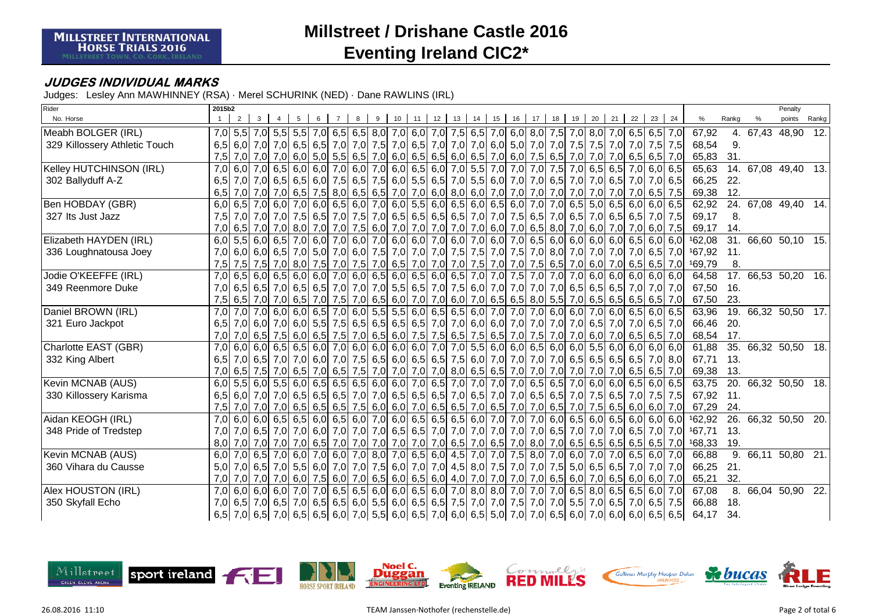### **JUDGES INDIVIDUAL MARKS**

| Rider                         | 2015b2 |                                   |   |                               |  |   |    |    |                                                                                         |    |       |    |    |    |    |                                                                                                                     |    |     |        |                   |                     | Penalty         |       |
|-------------------------------|--------|-----------------------------------|---|-------------------------------|--|---|----|----|-----------------------------------------------------------------------------------------|----|-------|----|----|----|----|---------------------------------------------------------------------------------------------------------------------|----|-----|--------|-------------------|---------------------|-----------------|-------|
| No. Horse                     |        | 2                                 | 3 |                               |  | 9 | 10 | 11 | $12$ 13                                                                                 | 14 | 15 16 | 17 | 18 | 19 | 20 | $21 \mid 22$                                                                                                        | 23 | 24  | %      | Rankg             |                     | points          | Rankg |
| Meabh BOLGER (IRL)            |        |                                   |   |                               |  |   |    |    |                                                                                         |    |       |    |    |    |    | 7,0 5,5 7,0 5,5 7,0 6,5 7,0 6,5 7,0 6,5 8,0 7,0 6,0 7,0 7,5 6,5 7,0 6,0 8,0 7,5 7,0 8,0 7,0 6,5 6,5 7,0             |    |     | 67,92  | 4.                | 67,43 48,90         |                 | 12.   |
| 329 Killossery Athletic Touch |        |                                   |   |                               |  |   |    |    |                                                                                         |    |       |    |    |    |    | 6,5 6,0 7,0 7,0 6,5 6,5 6,5 7,0 7,0 7,6 7,0 6,5 7,0 6,5 7,0 7,0 6,0 5,0 7,0 7,0 7,0 7,5 7,5 7,6 7,6 7,5 7,5         |    |     | 68,54  | 9.                |                     |                 |       |
|                               | 7,5    |                                   |   |                               |  |   |    |    | 7,0 7,0 7,0 6,0 5,0 5,5 6,5 7,0 6,0 6,5 6,5 6,0 6,5 7,0 6,0 7,5 6,5 7,0                 |    |       |    |    |    |    | 7,0 7,0 6,5 6,5                                                                                                     |    | 7,0 | 65,83  | 31.               |                     |                 |       |
| Kelley HUTCHINSON (IRL)       | 7.0    |                                   |   | $6,0$ 7,0 6,5 6,0 6,0 7,0 6,0 |  |   |    |    | 7,0 6,0 6,5 6,0 7,0 5,5 7,0 7,0 7,0 7,5 7,0                                             |    |       |    |    |    |    | $6.5$ 6.5 7.0 6.0 6.5                                                                                               |    |     | 65,63  |                   | 14. 67,08 49,40 13. |                 |       |
| 302 Ballyduff A-Z             |        |                                   |   |                               |  |   |    |    | 6,5 7,0 7,0 6,5 6,5 6,0 7,5 6,5 7,5 6,0 5,5 6,5 7,0 5,5 6,0 7,0 7,0 6,5 7,0             |    |       |    |    |    |    | 7,0 6,5 7,0 7,0 6,5                                                                                                 |    |     | 66,25  | 22.               |                     |                 |       |
|                               | 6,5    |                                   |   |                               |  |   |    |    | 7,0 7,0 7,0 6,5 7,5 8,0 6,5 7,0 7,0 6,0 8,0 6,0 7,0 7,0 7,0 7,0 7,0 7,0                 |    |       |    |    |    |    | 7,0 7,0 7,0 6,5 7,5                                                                                                 |    |     | 69,38  | 12.               |                     |                 |       |
| Ben HOBDAY (GBR)              |        | 6,0 6,5 7,0 6,0 7,0 6,0 6,5 6,0   |   |                               |  |   |    |    |                                                                                         |    |       |    |    |    |    | 7,0 6,0 5,5 6,0 6,5 6,0 6,5 6,0 7,0 7,0 6,5 5,0 6,5 6,0 6,0 6,0 6,5                                                 |    |     | 62,92  | $\overline{24}$ . | 67,08 49,40 14.     |                 |       |
| 327 Its Just Jazz             | 7,5    |                                   |   |                               |  |   |    |    |                                                                                         |    |       |    |    |    |    | 7,0 7,0 7,0 7,0 7,5 6,5 7,0 7,5 7,0 6,5 6,5 6,5 6,5 7,0 7,0 7,5 6,5 7,0 6,5 7,0 6,5 6,5 6,5 7,0                     |    | 7,5 | 69,17  | 8.                |                     |                 |       |
|                               |        |                                   |   |                               |  |   |    |    |                                                                                         |    |       |    |    |    |    | 7,0 6,5 7,0 7,0 7,0 8,0 7,0 7,0 7,0 7,0 6,0 7,0 7,0 7,0 7,0 7,0 6,0 7,0 6,5 8,0 7,0 6,0 7,0 6,0 7,0 6,0             |    | 7,5 | 69,17  | 14.               |                     |                 |       |
| Elizabeth HAYDEN (IRL)        |        | $6,0$ 5,5 6,0 6,5 7,0 6,0 7,0 6,0 |   |                               |  |   |    |    |                                                                                         |    |       |    |    |    |    | 7,0 6,0 6,0 7,0 6,0 7,0 6,0 7,0 6,5 6,0 6,0 6,0 6,0 6,0 6,5 6,0                                                     |    | 6,0 | 162,08 |                   | 31. 66,60 50,10 15. |                 |       |
| 336 Loughnatousa Joey         |        |                                   |   |                               |  |   |    |    | 7,0 6,0 6,0 6,5 7,0 5,0 7,0 6,0 7,5 7,0 7,0 7,0 7,5 7,5 7,5 7,0 7,5 7,0 8,0 7,0         |    |       |    |    |    |    | 7,0 7,0 7,0 6,5                                                                                                     |    | 7,0 | 167,92 | 11.               |                     |                 |       |
|                               | 7,5    |                                   |   |                               |  |   |    |    |                                                                                         |    |       |    |    |    |    | 7,5 7,0 8,0 7,5 7,0 8,0 7,5 7,0 7,5 7,0 6,5 7,0 7,0 7,0 7,5 7,0 7,5 7,0 7,5 6,5 7,0 6,0 7,0 6,5 6,5 7,0             |    |     | 169,79 | 8.                |                     |                 |       |
| Jodie O'KEEFFE (IRL)          |        |                                   |   |                               |  |   |    |    |                                                                                         |    |       |    |    |    |    | 7,0 6,5 6,0 6,5 6,0 6,0 7,0 6,0 6,5 6,0 6,5 6,0 6,5 7,0 7,0 7,5 7,0 7,0 7,0 6,0 6,0 6,0 6,0 6,0 6,0                 |    |     | 64.58  |                   | 17. 66,53 50,20 16. |                 |       |
| 349 Reenmore Duke             |        |                                   |   |                               |  |   |    |    |                                                                                         |    |       |    |    |    |    | 7,0 6,5 6,5 7,0 6,5 6,5 7,0 6,5 6,5 7,0 7,0 7,0 5,5 6,5 7,0 7,5 6,0 7,0 7,0 7,0 7,0 7,0 6,5 6,5 6,5 7,0 7,0         |    | 7,0 | 67,50  | 16.               |                     |                 |       |
|                               |        |                                   |   |                               |  |   |    |    |                                                                                         |    |       |    |    |    |    | 7,5 6,5 7,0 7,0 7,0 6,5 7,0 7,5 7,0 6,5 6,0 7,0 7,0 6,0 7,0 6,0 7,0 6,5 6,5 8,0 5,5 7,0 6,5 6,5 6,5 6,5 6,5         |    | 7,0 | 67,50  | 23.               |                     |                 |       |
| Daniel BROWN (IRL)            | 7.0    |                                   |   |                               |  |   |    |    | 7,0 7,0 6,0 6,0 6,5 7,0 6,0 5,5 5,5 6,0 6,5 6,5 6,0 7,0 7,0 7,0 6,0 6,0                 |    |       |    |    |    |    | $7,0$ 6,0 6,5 6,0                                                                                                   |    | 6,5 | 63,96  | 19.               | 66,32 50,50 17.     |                 |       |
| 321 Euro Jackpot              |        |                                   |   |                               |  |   |    |    |                                                                                         |    |       |    |    |    |    | 6,5 7,0 6,0 7,0 6,0 7,0 6,0 7,0 6,5 6,5 6,5 6,5 6,5 6,5 6,5 6,5 7,0 7,0 6,0 6,0 7,0 7,0 7,0 7,0 6,5 7,0 7,0 7,0 6,5 |    | 7,0 | 66,46  | 20.               |                     |                 |       |
|                               |        |                                   |   |                               |  |   |    |    |                                                                                         |    |       |    |    |    |    | 7,0 7,0 6,5 7,5 6,5 7,0 6,5 7,5 6,6 7,6 6,6 7,5 6,5 7,5 6,5 7,5 6,5 7,0 7,5 7,0 7,0 6,0 7,0 6,5 6,5 6,5 7,0         |    |     | 68,54  | 17.               |                     |                 |       |
| Charlotte EAST (GBR)          | 7,0    |                                   |   |                               |  |   |    |    |                                                                                         |    |       |    |    |    |    | 6,0 6,0 6,5 6,5 6,0 7,0 6,0 6,0 6,0 6,0 7,0 7,0 7,0 5,5 6,0 6,0 6,5 6,0 6,0 5,5 6,0 6,0 6,0 6,0 6,0                 |    |     | 61,88  |                   | 35. 66,32 50,50 18. |                 |       |
| 332 King Albert               | 6.5    |                                   |   |                               |  |   |    |    |                                                                                         |    |       |    |    |    |    | 7,0 6,5 7,0 7,0 6,0 7,0 7,0 7,5 6,5 6,0 6,5 6,5 7,5 6,0 7,0 7,0 7,0 7,0 6,5 6,5 6,5 6,5 6,5 7,0                     |    | 8,0 | 67,71  | 13.               |                     |                 |       |
|                               |        |                                   |   |                               |  |   |    |    | 7,0 6,5 7,0 7,0 6,5 7,0 6,5 7,0 6,5 7,5 7,0 7,0 7,0 7,0 8,0 6,5 6,5 7,0 7,0 7,0 7,0 7,0 |    |       |    |    |    |    | 7,0 7,0 6,5 6,5                                                                                                     |    | 7,0 | 69,38  | 13.               |                     |                 |       |
| Kevin MCNAB (AUS)             | 6,0    |                                   |   |                               |  |   |    |    |                                                                                         |    |       |    |    |    |    | 5,5 6,0 5,5 6,0 6,5 6,0 6,5 6,5 6,6 6,0 6,0 7,0 6,5 7,0 7,0 7,0 7,0 7,0 6,5 6,5 7,0 6,0 6,0 6,0 6,5 6,0 6,5         |    |     | 63,75  | 20.               | 66,32 50,50 18.     |                 |       |
| 330 Killossery Karisma        |        |                                   |   |                               |  |   |    |    | 6,5 6,0 7,0 7,0 6,5 6,5 6,5 7,0 7,0 6,5 6,5 6,5 7,0 6,5 7,0 6,5 7,0 6,5 7,0 6,5 6,5 7,0 |    |       |    |    |    |    | 7,5 6,5 7,0 7,5                                                                                                     |    | 7,5 | 67,92  | 11.               |                     |                 |       |
|                               | 7.5    |                                   |   |                               |  |   |    |    | 7,0 7,0 7,0 6,5 6,5 6,5 7,5 6,0 6,0 7,0 6,5 6,5 7,0 6,5 7,0 7,0 6,5 7,0                 |    |       |    |    |    |    | $7,5$ 6,5 6,0 6,0                                                                                                   |    | 7,0 | 67,29  | 24.               |                     |                 |       |
| Aidan KEOGH (IRL)             | 7.0    |                                   |   | $6,0$ 6,0 6,5 6,5 6,0 6,5 6,0 |  |   |    |    |                                                                                         |    |       |    |    |    |    | 7,0 6,0 6,5 6,5 6,5 6,6 7,0 7,0 7,0 6,0 6,5 6,0 6,5 6,0 6,0 6,0                                                     |    | 6,0 | 162,92 |                   | 26. 66,32 50,50 20. |                 |       |
| 348 Pride of Tredstep         | 7,0    |                                   |   |                               |  |   |    |    | 7,0 6,5 7,0 7,0 6,0 7,0 7,0 7,0 7,0 6,5 6,5 7,0 7,0 7,0 7,0 7,0 7,0 7,0 6,5 7,0         |    |       |    |    |    |    | 7,0 7,0 6,5 7,0                                                                                                     |    | 7,0 | 167,71 | 13.               |                     |                 |       |
|                               |        |                                   |   |                               |  |   |    |    |                                                                                         |    |       |    |    |    |    | 8,0 7,0 7,0 7,0 7,0 7,0 6,5 7,0 7,0 7,0 7,0 7,0 7,0 7,0 6,5 7,0 6,5 7,0 8,0 7,0 6,5 6,5 6,5 6,5 6,5 6,5 7,0         |    |     | 168,33 | 19.               |                     |                 |       |
| Kevin MCNAB (AUS)             |        |                                   |   |                               |  |   |    |    |                                                                                         |    |       |    |    |    |    | 6,0 7,0 6,5 7,0 6,0 7,0 6,0 7,0 6,0 7,0 8,0 7,0 6,5 6,0 4,5 7,0 7,0 7,5 8,0 7,0 6,0 7,0 7,0 6,5 6,0                 |    | 7,0 | 66,88  | 9.                | 66,11 50,80 21.     |                 |       |
| 360 Vihara du Causse          |        |                                   |   |                               |  |   |    |    |                                                                                         |    |       |    |    |    |    | 5,0 7,0 6,5 7,0 5,5 6,5 7,0 7,0 7,0 7,6 6,0 7,0 7,0 7,0 4,5 8,0 7,5 7,0 7,0 7,5 5,0 6,5 6,5 7,0 7,0                 |    | 7,0 | 66,25  | 21.               |                     |                 |       |
|                               | 7,0    |                                   |   |                               |  |   |    |    |                                                                                         |    |       |    |    |    |    | 7,0 7,0 7,0 6,5 6,0 7,5 6,0 7,0 6,5 6,0 6,5 6,0 4,0 7,0 7,0 7,0 7,0 6,5 6,0 7,0 6,5 6,0 6,0 6,0 6,0                 |    | 7,0 | 65,21  | 32.               |                     |                 |       |
| Alex HOUSTON (IRL)            |        |                                   |   |                               |  |   |    |    |                                                                                         |    |       |    |    |    |    | 7,0 6,0 6,0 6,0 7,0 7,0 7,0 6,5 6,5 6,0 6,0 6,5 6,0 7,0 8,0 7,0 7,0 7,0 7,0 7,0 6,5 8,0 6,5 6,5 6,5 6,5 6,0         |    | 7,0 | 67,08  | 8.                |                     | 66,04 50,90 22. |       |
| 350 Skyfall Echo              |        |                                   |   |                               |  |   |    |    |                                                                                         |    |       |    |    |    |    | 7,0 6,5 7,0 6,5 7,0 6,5 7,0 6,5 6,5 6,0 5,5 6,0 6,5 6,6 7,5 7,0 7,0 7,5 7,0 7,0 7,0 5,5 7,0 6,5 7,0 6,5 7,0 6,5     |    | 7,5 | 66,88  | 18.               |                     |                 |       |
|                               |        |                                   |   |                               |  |   |    |    |                                                                                         |    |       |    |    |    |    | 6,5 7,0 6,5 7,0 6,5 7,0 6,5 6,5 6,6 7,0 5,5 6,0 6,5 7,0 6,0 6,5 5,0 7,0 7,0 6,5 6,0 7,0 6,0 6,0 6,0 6,5 6,5         |    |     | 64,17  | 34.               |                     |                 |       |

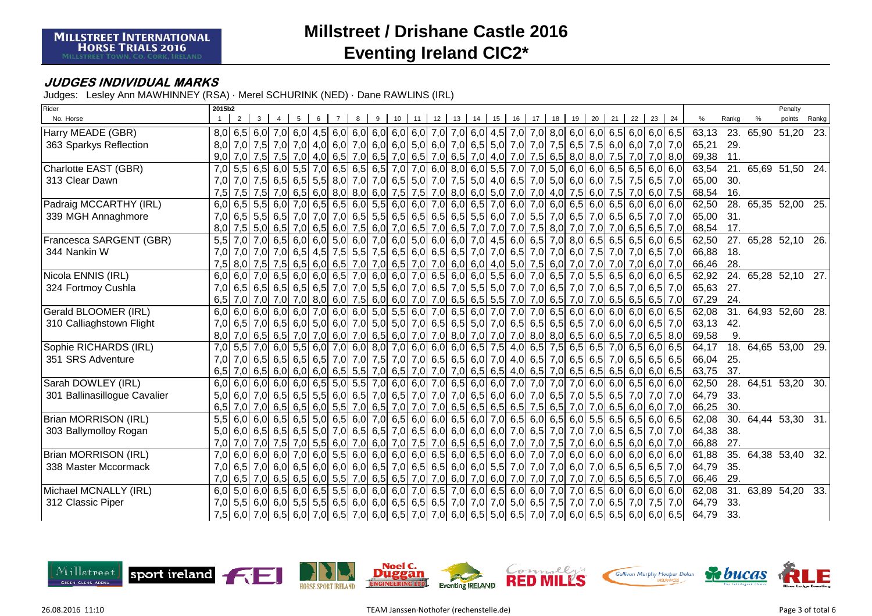### **JUDGES INDIVIDUAL MARKS**

| Rider                        | 2015b2                                  |                   |                                                       |                                                                                                                               |                                                                                                                 | Penalty                                          |
|------------------------------|-----------------------------------------|-------------------|-------------------------------------------------------|-------------------------------------------------------------------------------------------------------------------------------|-----------------------------------------------------------------------------------------------------------------|--------------------------------------------------|
| No. Horse                    | $\overline{2}$                          |                   | $12$ 13<br>10<br>11                                   | 15<br>16<br>14<br>17<br>18                                                                                                    | 22<br>20<br>21<br>23<br>24<br>19                                                                                | %<br>Rankg<br>%<br>points<br>Rankg               |
| Harry MEADE (GBR)            |                                         |                   |                                                       |                                                                                                                               | 8,0 6,5 6,0 7,0 6,0 4,5 6,0 4,5 6,0 6,0 6,0 6,0 6,0 7,0 7,0 6,0 4,5 7,0 7,0 8,0 6,0 6,0 6,0 6,0 6,0 6,0 6,0 6,0 | 63,13<br>23. 65,90 51,20 23.                     |
| 363 Sparkys Reflection       | 8.0                                     |                   |                                                       |                                                                                                                               | 7,0 7,0 7,0 7,0 4,0 6,0 7,0 6,0 6,0 6,0 6,0 6,0 7,0 6,0 7,0 6,5 5,0 7,0 7,0 7,0 7,5 6,5 7,5 6,0 6,0 7,0 7,0 7,0 | 65,21<br>29.                                     |
|                              | 9,0<br>7,0 7,5 7,5                      |                   |                                                       |                                                                                                                               | 7,0 4,0 6,5 7,0 6,5 7,0 6,5 7,0 6,5 7,0 4,0 7,0 7,5 6,5 8,0 8,0 7,5 7,0 7,0 8,0                                 | 69,38<br>11.                                     |
| Charlotte EAST (GBR)         | 7,0<br>$5,5$ 6,5 6,0                    |                   |                                                       | 5,5 7,0 6,5 6,5 6,5 7,0 7,0 6,0 8,0 6,0 5,5 7,0 7,0 5,0 6,0                                                                   | $6,0$ 6,5 6,5 6,0 6,0                                                                                           | 21. 65,69 51,50 24.<br>63,54                     |
| 313 Clear Dawn               | 7,0                                     |                   |                                                       |                                                                                                                               | 7,0 7,5 6,5 6,5 6,5 6,5 8,0 7,0 6,5 5,0 7,0 7,0 7,5 5,0 4,0 6,5 7,0 5,0 6,0 6,0 7,5 7,5 6,5 7,0                 | 65,00<br>30.                                     |
|                              | 7,5<br>$7,5$ 7,5 7,0                    |                   |                                                       | 6,5 6,0 8,0 8,0 6,0 7,5 7,5 7,0 8,0 6,0 5,0 7,0 7,0 4,0 7,5                                                                   | $6,0$ 7,5 7,0 6,0<br>7,5                                                                                        | 68,54<br>16.                                     |
| Padraig MCCARTHY (IRL)       | 6,0<br>$\overline{6,5}$ 5,5 6,0         |                   | 7,0 6,5 6,5 6,0 5,5 6,0 6,0 7,0 6,0 6,5 7,0 6,0       | 7,0                                                                                                                           | $6,0$ 6,5 6,0 6,5 6,0 6,0<br>6,0                                                                                | $\overline{28}$ .<br>65,35 52,00 25.<br>62,50    |
| 339 MGH Annaghmore           | 7.0                                     |                   |                                                       | 6,5 6,5 6,5 7,0 7,0 7,0 7,0 6,5 5,5 6,5 6,5 6,5 6,5 6,5 6,5 6,0 7,0 5,5 7,0 6,5 7,0 6,5 6,5 7,0                               | 7.0                                                                                                             | 31.<br>65,00                                     |
|                              | 8,0<br>$7,5$ 5,0 6,5                    |                   |                                                       | 7,0 6,5 6,0 7,5 6,0 7,0 6,5 7,0 6,5 7,0 7,0 7,0 7,0 7,5 8,0 7,0                                                               | 7,0 7,0 6,5 6,5<br>7.0                                                                                          | 17.<br>68,54                                     |
| Francesca SARGENT (GBR)      | $7.0$ 6.5<br>5,5<br>7.0                 |                   |                                                       | 6,0 6,0 5,0 6,0 7,0 6,0 5,0 6,0 6,0 7,0 4,5 6,0 6,5 7,0 8,0                                                                   | $6.5$ 6.5 6.5 6.0<br>6,5                                                                                        | 27. 65,28 52,10 26.<br>62,50                     |
| 344 Nankin W                 | 7,0<br>7,0 7,0 7,0                      |                   |                                                       | 6,5 4,5 7,5 5,5 7,5 6,5 6,0 6,5 6,5 7,0 7,0 6,5 7,0 7,0 6,0                                                                   | 7,5 7,0 7,0 6,5 7,0                                                                                             | 66,88<br>18.                                     |
|                              | 7,5 8,0 7,5 7,5                         |                   |                                                       | 6,5 6,0 6,5 7,0 7,0 6,5 7,0 7,0 6,0 6,0 4,0 5,0 7,5 6,0 7,0                                                                   | 7,0 7,0 7,0 6,0<br>7,0                                                                                          | 66,46<br>28.                                     |
| Nicola ENNIS (IRL)           | $6.0 \ 6.0 \ 7.0 \ 6.5$                 |                   |                                                       | $6,0$ 6,0 6,5 7,0 6,0 6,0 7,0 6,5 6,0 6,0 5,5 6,0 7,0 6,5 7,0                                                                 | $5.5$ 6.5 6.0 6.0<br>6,5                                                                                        | 24. 65,28 52,10 27.<br>62,92                     |
| 324 Fortmoy Cushla           | 7,0                                     |                   |                                                       | 6,5 6,5 6,5 6,5 6,5 7,0 7,0 5,5 6,0 7,0 6,5 7,0 5,5 5,0 7,0 7,0 6,5 7,0                                                       | 7,0 6,5 7,0 6,5 7,0                                                                                             | 65,63<br>27.                                     |
|                              | 6,5<br>7,0 7,0 7,0                      |                   |                                                       | 7,0 8,0 6,0 7,5 6,0 6,0 7,0 7,0 6,5 6,5 5,5 7,0 7,0 6,5 7,0                                                                   | 7,0 6,5 6,5 6,5<br>7.0                                                                                          | 67,29<br>24.                                     |
| Gerald BLOOMER (IRL)         | 6,0<br>6,0                              |                   |                                                       | $\begin{bmatrix} 6,0 & 6,0 & 7,0 & 6,0 & 6,0 & 5,0 & 5,5 & 6,0 & 7,0 & 6,5 & 6,0 & 7,0 & 7,0 & 7,0 & 6,5 & 6,0 \end{bmatrix}$ | $6.0$ 6.0 6.0 6.0<br>6,5                                                                                        | 31. 64,93 52,60 28.<br>62,08                     |
| 310 Calliaghstown Flight     |                                         |                   |                                                       | 7,0 6,5 7,0 6,5 6,5 6,0 5,0 6,0 7,0 5,0 5,0 7,0 6,5 6,5 5,0 7,0 6,5 6,5 6,5 6,5 6,5                                           | 7.0 6.0 6.0 6.5 <br>7.0                                                                                         | 63,13<br>42.                                     |
|                              | 8,0<br>7,0                              |                   |                                                       |                                                                                                                               | $\mid$ 6,5 6,5 7,0 7,0 6,0 7,0 6,5 6,0 7,0 7,0 8,0 7,0 7,0 7,0 7,0 8,0 8,0 6,5 6,0 6,5 7,0 6,5 8,0              | 9.<br>69,58                                      |
| Sophie RICHARDS (IRL)        | $5,5$ 7,0 6,0<br>7,0                    |                   |                                                       | 5,5 6,0 7,0 6,0 8,0 7,0 6,0 6,0 6,0 6,0 6,5 7,5 4,0 6,5 7,5 6,5 6,5 7,0 6,5 6,0                                               | 6,5                                                                                                             | 18.<br>64,65 53,00 29.<br>64,17                  |
| 351 SRS Adventure            | 7,0<br>$7,0$ 6.5 6.5                    |                   |                                                       |                                                                                                                               | 6,5 6,5 7,0 7,0 7,0 7,5 7,0 7,0 6,5 6,5 6,6 7,0 4,0 6,5 7,0 6,5 6,5 7,0 6,5 6,5 6,5 6,5 6,5                     | 66,04<br>25.                                     |
|                              | $6,5$ 6,0 6,0 6,0 6,5 5,5<br>6,5<br>7.0 |                   |                                                       |                                                                                                                               | 7,0 6,5 7,0 7,0 7,0 6,5 6,5 4,0 6,5 7,0 6,5 6,5 6,5 6,0 6,0 6,0                                                 | 63,75<br>37.                                     |
| Sarah DOWLEY (IRL)           | 6,0<br>6,0<br>6.0 6.0 <br>6,0           |                   | $6,5$ 5,0 5,5 7,0 6,0 6,0 7,0 6,5 6,0 6,0             | 7,0<br>7,0                                                                                                                    | $7.0$ 7.0<br>6.0 6.0 6.5 6.0 <br>6,0                                                                            | $\overline{28}$ .<br>62,50<br>64,51 53,20<br>30. |
| 301 Ballinasillogue Cavalier | 5,0                                     |                   |                                                       | 6,0 7,0 6,5 6,5 6,5 6,6 6,6 7,0 6,5 7,0 7,0 7,0 6,5 6,0 6,0 7,0 6,5 7,0                                                       | $5,5$ 6,5 7,0 7,0<br>7.0                                                                                        | 64,79<br>33.                                     |
|                              | 6,5                                     |                   |                                                       | 7,0 7,0 6,5 6,5 6,6 6,0 5,5 7,0 6,5 7,0 7,0 7,0 6,5 6,5 6,5 6,5 7,5 6,5 7,0                                                   | 7,0 6,5 6,0 6,0 7,0                                                                                             | 66,25<br>30.                                     |
| Brian MORRISON (IRL)         | 6.0 6.5<br>$5.5 \ 6.0$                  | $6,5$ 5,0 6,5 6,0 |                                                       | 7,0 6,5 6,0 6,0 6,5 6,0 7,0 6,5 6,0 6,5 6,0 5,5 6,5 6,5 6,5 6,0                                                               | 6.5                                                                                                             | 30. 64,44 53,30 31.<br>62,08                     |
| 303 Ballymolloy Rogan        | 5,0                                     |                   |                                                       | 6,0 6,5 6,5 6,5 6,5 7,0 6,5 6,5 7,0 6,5 6,0 6,0 6,0 6,0 7,0 6,5 7,0 7,0                                                       | 7,0 6,5 6,5 7,0<br>7,0                                                                                          | 64,38<br>38.                                     |
|                              | 7,0<br>7,0 7,0 7,5                      |                   |                                                       | 7,0 5,5 6,0 7,0 6,0 7,0 7,5 7,0 6,5 6,5 6,0 7,0 7,0 7,5 7,0 6,0 6,5 6,0 6,0 6,0                                               | 7,0                                                                                                             | 27.<br>66,88                                     |
| Brian MORRISON (IRL)         | 7,0<br>6.0 6.0 <br>6,0                  |                   | $7,0$ 6,0 5,5 6,0 6,0 6,0 6,0 6,5 6,0 6,5 6,0 6,0 6,0 | 7,0                                                                                                                           | $7,0$ 6,0 6,0 6,0 6,0 6,0 6,0<br>6,0                                                                            | 64,38 53,40 32.<br>61,88<br>35.                  |
| 338 Master Mccormack         | 7.0                                     |                   |                                                       | $6,5$ 7,0 6,0 6,5 6,0 6,0 6,0 6,0 6,5 7,0 6,5 6,5 6,0 6,0 5,5 7,0 7,0 7,0 6,0                                                 | 7,0 6,5 6,5 6,5 7,0                                                                                             | 64,79<br>35.                                     |
|                              |                                         |                   |                                                       | 7,0 6,5 7,0 6,5 6,5 6,6 6,0 5,5 7,0 6,5 6,5 7,0 7,0 6,0 7,0 6,0 7,0 7,0 7,0 7,0 7,0 7,0                                       | 7,0 6,5 6,5 6,5 7,0                                                                                             | 29.<br>66,46                                     |
| Michael MCNALLY (IRL)        | 6.0 6.5<br>6,0<br>5.0                   |                   |                                                       | 6,0 6,5 5,5 6,0 6,0 6,0 7,0 6,5 7,0 6,0 6,5 6,0 6,0 6,0                                                                       | $7,0$ 7,0<br>$6.5$ 6.0 6.0 6.0<br>6.0                                                                           | 31. 63,89 54,20 33.<br>62,08                     |
| 312 Classic Piper            | 7,0                                     |                   |                                                       | 5,5 6,0 6,0 5,5 5,5 6,5 6,0 6,0 6,5 6,5 6,5 7,0 7,0 7,0 5,0 6,5 7,5 7,0                                                       | 7,0 6,5 7,0 7,5 7,0                                                                                             | 64,79<br>33.                                     |
|                              |                                         |                   |                                                       |                                                                                                                               | 7,5 6,0 7,0 6,5 6,0 7,0 6,5 6,0 7,0 6,5 7,0 6,0 6,5 7,0 7,0 6,0 6,5 5,0 6,5 7,0 7,0 6,0 6,5 6,5 6,5 6,0 6,0 6,5 | 64,79<br>33.                                     |

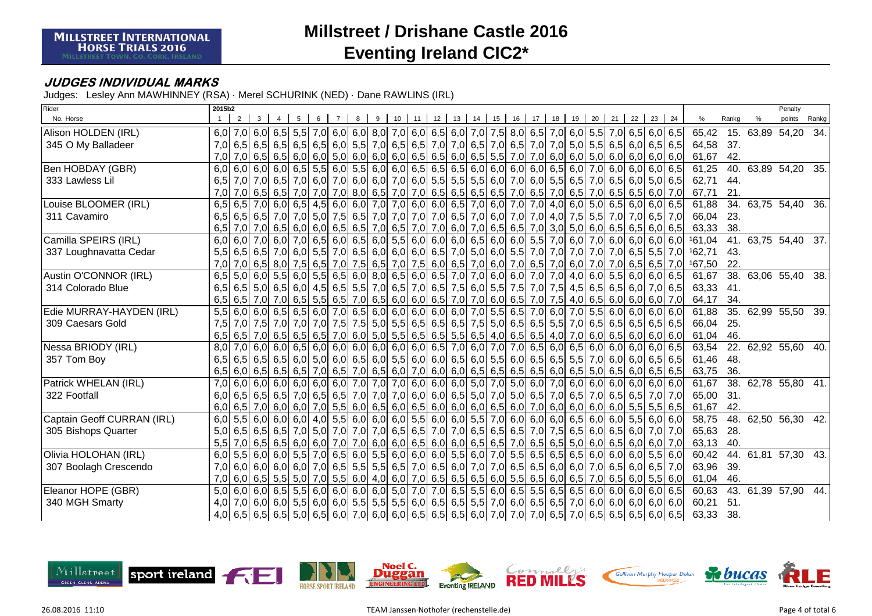### **JUDGES INDIVIDUAL MARKS**

| Rider                      | 2015b2           |                   |                                                             |  |                   |  |    |    |         |    |                                     |       |    |                                                                               |    |    |    |                                                                                                                     |    |     |        |                   | Penalty             |       |
|----------------------------|------------------|-------------------|-------------------------------------------------------------|--|-------------------|--|----|----|---------|----|-------------------------------------|-------|----|-------------------------------------------------------------------------------|----|----|----|---------------------------------------------------------------------------------------------------------------------|----|-----|--------|-------------------|---------------------|-------|
| No. Horse                  |                  | $\overline{2}$    |                                                             |  |                   |  | 10 | 11 | $12$ 13 | 14 |                                     | 15 16 | 17 | 18                                                                            | 19 | 20 | 21 | 22                                                                                                                  | 23 | 24  | %      | Rankg             | points              | Rankg |
| Alison HOLDEN (IRL)        |                  |                   |                                                             |  |                   |  |    |    |         |    |                                     |       |    |                                                                               |    |    |    | 6,0 6,5 6,0 6,5 6,0 6,5 6,0 6,5 6,0 6,0 6,0 6,0 6,0 6,0 6,5 6,0 7,0 7,5 8,0 6,5 7,0 6,0 5,5 7,0 6,5 6,0 6,5 6,0 6,5 |    |     | 65,42  |                   | 15. 63,89 54,20     | 34.   |
| 345 O My Balladeer         |                  |                   |                                                             |  |                   |  |    |    |         |    |                                     |       |    |                                                                               |    |    |    | 7,0 6,5 6,5 6,6 6,6 6,5 6,5 6,5 6,6 6,6 7,0 6,5 6,5 7,0 7,0 6,5 7,0 6,5 7,0 6,5 7,0 7,0 5,0 5,5 6,5 6,6 6,6 6,5 6,5 |    |     | 64,58  | 37.               |                     |       |
|                            | 7,0              |                   |                                                             |  |                   |  |    |    |         |    |                                     |       |    |                                                                               |    |    |    | 7,0 6,5 6,5 6,0 6,0 6,0 5,0 6,0 6,0 6,0 6,0 6,5 6,5 6,0 6,5 5,5 7,0 7,0 6,0 6,0 5,0 6,0 6,0 6,0 6,0 6,0 6,0         |    |     | 61,67  | 42.               |                     |       |
| Ben HOBDAY (GBR)           | 6,0              |                   | 6.0 6.0 6.0                                                 |  |                   |  |    |    |         |    |                                     |       |    | $6,5$ 5,5 6,0 5,5 6,0 6,0 6,5 6,5 6,5 6,5 6,0 6,0 6,0 6,0 6,5 6,0             |    |    |    | 7,0 6,0 6,0 6,0 6,5                                                                                                 |    |     | 61,25  | 40.               | 63,89 54,20 35.     |       |
| 333 Lawless Lil            |                  |                   |                                                             |  |                   |  |    |    |         |    |                                     |       |    |                                                                               |    |    |    | 6,5 7,0 7,0 6,5 7,0 6,5 7,0 6,0 7,0 6,0 6,0 7,0 6,0 7,0 6,0 5,5 5,5 6,0 7,0 6,0 5,5 6,5 6,5 7,0 6,5 6,0 5,0 6,5     |    |     | 62,71  | 44.               |                     |       |
|                            | 7,0              |                   | $7,0$ 6,5 6,5                                               |  |                   |  |    |    |         |    |                                     |       |    |                                                                               |    |    |    | 7,0 7,0 7,0 8,0 6,5 7,0 7,0 6,5 6,5 6,5 6,5 6,5 7,0 6,5 7,0 6,5 7,0 6,5 6,5 6,6 6,0 7,0                             |    |     | 67,71  | 21.               |                     |       |
| Louise BLOOMER (IRL)       | 6,5              |                   | 6,5 7,0 6,0 6,5 4,5 6,0 6,0 7,0 7,0 6,0 6,0 6,5 7,0 6,0 7,0 |  |                   |  |    |    |         |    |                                     |       |    |                                                                               |    |    |    | 7,0 4,0 6,0 5,0 6,5 6,0 6,0                                                                                         |    | 6,5 | 61,88  | 34.               | 63,75 54,40 36.     |       |
| 311 Cavamiro               |                  |                   |                                                             |  |                   |  |    |    |         |    |                                     |       |    |                                                                               |    |    |    | 6,5 6,5 6,5 7,0 7,0 6,5 7,0 6,5 7,0 6,5 7,0 7,0 7,0 7,0 6,5 7,0 6,0 7,0 7,0 4,0 7,5 5,5 7,0 7,0 6,5 7,0             |    |     | 66,04  | 23.               |                     |       |
|                            | 6.5              |                   |                                                             |  |                   |  |    |    |         |    |                                     |       |    |                                                                               |    |    |    | 7,0 7,0 6,0 6,5 6,0 6,5 6,0 6,5 6,5 7,0 6,6 7,0 6,0 7,0 6,0 7,0 6,5 6,5 7,0 3,0 5,0 6,0 6,5 6,5 6,5 6,0             |    | 6,5 | 63,33  | 38.               |                     |       |
| Camilla SPEIRS (IRL)       | 6,0              |                   | $6.0$ 7.0 $6.0$                                             |  |                   |  |    |    |         |    |                                     |       |    | 7,0 6,5 6,0 6,5 6,0 5,5 6,0 6,0 6,0 6,0 6,5 6,0 6,0 5,5 7,0 6,0               |    |    |    | 7.0 6.0 6.0 6.0                                                                                                     |    | 6,0 | 161,04 |                   | 41. 63,75 54,40 37. |       |
| 337 Loughnavatta Cedar     |                  |                   |                                                             |  |                   |  |    |    |         |    |                                     |       |    | 5,5 6,5 6,5 7,0 6,0 5,5 7,0 6,5 6,0 6,0 6,0 6,5 7,0 5,0 6,0 5,5 7,0 7,0 7,0   |    |    |    | 7,0 7,0 6,5 5,5 7,0                                                                                                 |    |     | 162,71 | 43.               |                     |       |
|                            | 7,0              |                   | $7,0$ 6,5 8,0                                               |  |                   |  |    |    |         |    |                                     |       |    | 7,5 6,5 7,0 7,5 6,5 7,0 7,5 6,0 6,5 7,0 6,0 7,0 6,5 7,0 6,5 7,0               |    |    |    | 7,0 7,0 6,5 6,5                                                                                                     |    | 7,0 | 167,50 | 22.               |                     |       |
| Austin O'CONNOR (IRL)      | 6,5              | 5,0               | $6.0$ 5.5                                                   |  |                   |  |    |    |         |    |                                     |       |    |                                                                               |    |    |    | 6,0 5,5 6,5 6,0 8,0 6,5 6,0 6,5 7,0 7,0 6,0 6,0 7,0 7,0 4,0 6,0 5,5 6,0 6,0 6,5                                     |    |     | 61,67  | 38.               | 63,06 55,40 38.     |       |
| 314 Colorado Blue          |                  |                   |                                                             |  |                   |  |    |    |         |    |                                     |       |    |                                                                               |    |    |    | 6,5 6,5 6,6 6,6 6,6 6,0 7,0 6,5 6,6 7,0 6,5 7,0 6,5 7,6 6,0 5,5 7,5 7,0 7,5 4,5 6,5 6,5 6,0 7,0 6,5                 |    |     | 63,33  | 41.               |                     |       |
|                            |                  | $6,5$ 6,5 7,0 7,0 |                                                             |  |                   |  |    |    |         |    |                                     |       |    |                                                                               |    |    |    | $6,5$ 5,5 6,5 7,0 6,5 6,0 6,0 6,0 6,5 7,0 7,0 6,0 6,5 7,0 7,5 4,0 6,5 6,0 6,0 6,0 6,0                               |    | 7,0 | 64,17  | 34.               |                     |       |
| Edie MURRAY-HAYDEN (IRL)   | 5,5              |                   | 6.0 6.0 6.5                                                 |  |                   |  |    |    |         |    |                                     |       |    | 6,5 6,0 7,0 6,5 6,0 6,0 6,0 6,0 6,0 7,0 5,5 6,5 7,0 6,0 7,0                   |    |    |    | $5.5$ 6.0 6.0 6.0                                                                                                   |    | 6,0 | 61,88  |                   | 35. 62,99 55,50 39. |       |
| 309 Caesars Gold           | 7.5              |                   |                                                             |  |                   |  |    |    |         |    |                                     |       |    |                                                                               |    |    |    | 7,0 7,5 7,0 7,0 7,0 7,0 7,5 7,5 6,5 6,6 6,5 6,5 6,5 6,5 7,5 5,0 6,5 6,5 6,5 7,0 6,5 6,5 6,5 6,5 6,5 6,5 6,5         |    |     | 66,04  | 25.               |                     |       |
|                            |                  |                   |                                                             |  |                   |  |    |    |         |    |                                     |       |    | $6,5$ 6,5 7,0 6,5 6,5 6,5 7,0 6,0 5,0 5,5 6,5 6,5 6,5 6,5 4,0 6,5 6,5 4,0 7,0 |    |    |    | $6,0$ 6,5 6,0 6,0 6,0                                                                                               |    |     | 61,04  | 46.               |                     |       |
| Nessa BRIODY (IRL)         | 8,0              |                   | 7.0 6.0 6.0                                                 |  |                   |  |    |    |         |    |                                     |       |    |                                                                               |    |    |    | $6,5$ 6,0 6,0 6,0 6,0 6,0 6,0 6,0 6,5 7,0 6,0 7,0 7,0 6,5 6,0 6,5 6,0 6,0 6,0 6,0 6,0                               |    | 6,5 | 63,54  |                   | 22. 62,92 55,60 40. |       |
| 357 Tom Boy                |                  | $6,5$ 6,5 6,5 6,5 |                                                             |  |                   |  |    |    |         |    |                                     |       |    | 6,0 5,0 6,0 6,5 6,0 5,5 6,0 6,0 6,5 6,0 5,5 6,0 6,5 6,5 6,5 5,5               |    |    |    | 7,0 6,0 6,0 6,5 6,5                                                                                                 |    |     | 61,46  | 48.               |                     |       |
|                            |                  | $6,5$ 6,0         |                                                             |  |                   |  |    |    |         |    |                                     |       |    |                                                                               |    |    |    | 6,5  6,5  6,5  7,0  6,5  7,0  6,5  6,0  7,0  6,0  6,0  6,5  6,5  6,5  6,5  6,0  6,5  5,0  6,5  6,0  6,5  6,0  6,5   |    |     | 63,75  | 36.               |                     |       |
| Patrick WHELAN (IRL)       | $\overline{7.0}$ | 6,0               | 6.0 6.0                                                     |  | $6,0$ 6,0 6,0 7,0 |  |    |    |         |    | 7,0 7,0 6,0 6,0 6,0 5,0 7,0 5,0 6,0 |       |    |                                                                               |    |    |    | $7,0$ 6,0 6,0 6,0 6,0 6,0 6,0 6,0                                                                                   |    |     | 61,67  | $\overline{38}$ . | 62,78 55,80 41.     |       |
| 322 Footfall               | 6.0              |                   |                                                             |  |                   |  |    |    |         |    |                                     |       |    | 6,5 6,5 6,5 7,0 6,5 6,5 7,0 7,0 7,0 7,0 6,0 6,0 6,5 5,0 7,0 5,0 6,5 7,0 6,5   |    |    |    | 7,0 6,5 6,5 7,0                                                                                                     |    | 7.0 | 65,00  | 31.               |                     |       |
|                            |                  |                   |                                                             |  |                   |  |    |    |         |    |                                     |       |    |                                                                               |    |    |    | 6,0 6,5 7,0 6,0 6,0 7,0 6,0 7,0 5,5 6,0 6,6 6,0 6,5 6,0 6,0 6,0 6,0 6,0 7,0 6,0 6,0 6,0 6,0 6,0 6,5 5,5 5,5 6,5     |    |     | 61,67  | 42.               |                     |       |
| Captain Geoff CURRAN (IRL) | 6,0              |                   |                                                             |  |                   |  |    |    |         |    |                                     |       |    |                                                                               |    |    |    | 5.5 6.0 6.0 6.0 6.0 4.0 5.5 6.0 6.0 6.0 5.5 6.0 6.0 6.0 6.5 7.0 6.0 6.0 6.0 6.5 6.0 6.0 5.5 6.0 6.0 6.0             |    |     | 58,75  | 48.               | 62,50 56,30 42.     |       |
| 305 Bishops Quarter        | 5,0              |                   |                                                             |  |                   |  |    |    |         |    |                                     |       |    |                                                                               |    |    |    | 6,5 6,5 6,6 7,0 5,0 7,0 7,0 7,0 7,0 6,5 6,5 7,0 7,0 6,5 6,5 6,5 7,0 7,5 6,5 6,0 6,5 6,0 7,0                         |    | 7,0 | 65,63  | 28.               |                     |       |
|                            | 5,5              |                   |                                                             |  |                   |  |    |    |         |    |                                     |       |    |                                                                               |    |    |    | 7,0 6,5 6,5 6,0 6,0 7,0 7,0 6,0 6,0 6,0 6,5 6,0 6,0 6,5 6,5 7,0 6,5 6,5 5,0 6,0 6,5 6,0 6,0 7,0                     |    |     | 63,13  | 40.               |                     |       |
| Olivia HOLOHAN (IRL)       | 6,0              |                   | $\overline{5,5}$ 6,0 6,0                                    |  |                   |  |    |    |         |    |                                     |       |    |                                                                               |    |    |    | 5,5 7,0 6,5 6,0 5,5 6,0 6,0 6,0 6,0 5,5 6,0 7,0 5,5 6,5 6,5 6,5 6,5 6,0 6,0 6,0 5,5                                 |    | 6,0 | 60,42  | 44.               | 61,81 57,30 43.     |       |
| 307 Boolagh Crescendo      | 7.0              |                   |                                                             |  |                   |  |    |    |         |    |                                     |       |    |                                                                               |    |    |    | 6,0 6,0 6,0 6,0 6,0 7,0 6,5 5,5 5,5 6,5 7,0 6,5 6,0 7,0 7,0 6,5 6,5 6,0 6,0 7,0 6,5 6,0 6,1 7,0 6,5 6,0 6,5 7,0     |    |     | 63,96  | 39.               |                     |       |
|                            |                  |                   |                                                             |  |                   |  |    |    |         |    |                                     |       |    |                                                                               |    |    |    | 7,0 6,0 6,5 5,6 5,6 7,0 7,0 5,5 6,0 4,0 6,0 7,0 6,5 6,5 6,5 6,6 6,5 6,5 6,5 6,0 6,5 7,0 6,5 6,0 5,5 6,0 7,0         |    |     | 61,04  | 46.               |                     |       |
| Eleanor HOPE (GBR)         | 5.0              |                   |                                                             |  |                   |  |    |    |         |    |                                     |       |    |                                                                               |    |    |    | 6,0 6,0 6,5 5,5 6,0 6,0 6,0 6,0 6,0 5,0 7,0 7,0 6,5 5,5 6,0 6,5 5,5 6,5 6,5 6,0 6,0 6,0 6,0 6,0 6,0                 |    | 6.5 | 60,63  |                   | 43. 61,39 57,90 44. |       |
| 340 MGH Smarty             | 4,0              |                   |                                                             |  |                   |  |    |    |         |    |                                     |       |    |                                                                               |    |    |    | 7,0 6,0 6,0 6,0 6,0 6,0 6,0 6,0 6,5 5,5 6,5 6,0 6,5 6,5 6,5 7,0 6,0 6,5 6,5 7,0 6,0 6,0 6,0 6,0 6,0 6,0 6,0         |    |     | 60,21  | 51.               |                     |       |
|                            |                  |                   |                                                             |  |                   |  |    |    |         |    |                                     |       |    |                                                                               |    |    |    | 4,0 6,5 6,5 6,5 6,5 6,6 5,0 6,5 6,0 7,0 6,0 6,0 6,0 6,5 6,5 6,5 6,0 7,0 7,0 7,0 6,5 7,0 6,5 6,5 6,5 6,6 6,0 6,5     |    |     | 63,33  | 38.               |                     |       |

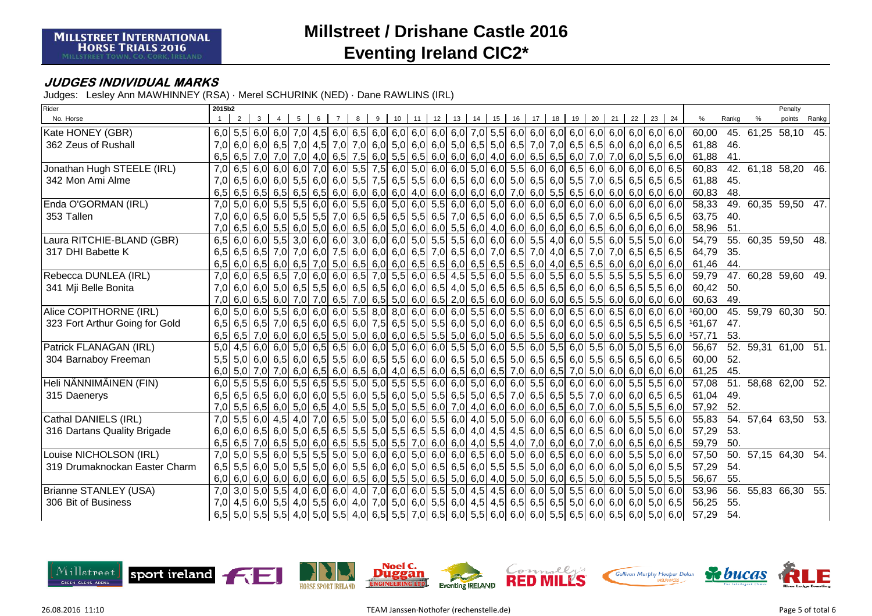### **JUDGES INDIVIDUAL MARKS**

| Rider                          | 2015b2           |   |   |                          |  |  |   |    |    |               |    |    |    |    |    |    |                                                                                                                             |         |       |        |                 | Penalty             |       |
|--------------------------------|------------------|---|---|--------------------------|--|--|---|----|----|---------------|----|----|----|----|----|----|-----------------------------------------------------------------------------------------------------------------------------|---------|-------|--------|-----------------|---------------------|-------|
| No. Horse                      |                  | 2 | 3 |                          |  |  | 9 | 10 | 11 | $12 \quad 13$ | 14 | 15 | 16 | 17 | 18 | 19 | 20                                                                                                                          | $21$ 22 | 23 24 | %      | Rankg           | points              | Rankg |
| Kate HONEY (GBR)               |                  |   |   |                          |  |  |   |    |    |               |    |    |    |    |    |    |                                                                                                                             |         |       | 60,00  |                 | 45. 61,25 58,10     | 45.   |
| 362 Zeus of Rushall            |                  |   |   |                          |  |  |   |    |    |               |    |    |    |    |    |    | 7,0 6,0 6,0 6,5 7,0 4,5 7,0 7,0 6,0 5,0 6,0 6,0 5,0 6,5 5,0 6,5 7,0 7,0 6,5 6,5 6,5 6,0 6,0 6,0 6,0 6,5                     |         |       | 61,88  | 46.             |                     |       |
|                                | 6.5              |   |   |                          |  |  |   |    |    |               |    |    |    |    |    |    | $6,5$ 7,0 7,0 7,0 4,0 6,5 7,5 6,0 5,5 6,5 6,0 6,0 6,0 6,0 4,0 6,0 6,5 6,5 6,0 7,0 7,0 6,0 5,5 6,0                           |         |       | 61,88  | 41.             |                     |       |
| Jonathan Hugh STEELE (IRL)     | $\overline{7.0}$ |   |   |                          |  |  |   |    |    |               |    |    |    |    |    |    | 6,5 6,0 6,0 6,0 7,0 6,0 5,5 7,5 6,0 5,0 6,0 6,0 5,0 6,0 6,0 5,5 6,0 6,0 6,5 6,0 6,0 6,0 6,0 6,0 6,0 6,5                     |         |       | 60,83  |                 | 42. 61,18 58,20 46. |       |
| 342 Mon Ami Alme               | 7,0              |   |   |                          |  |  |   |    |    |               |    |    |    |    |    |    |                                                                                                                             |         |       | 61,88  | 45.             |                     |       |
|                                | 6,5              |   |   | $6,5$ 6,5 6,5            |  |  |   |    |    |               |    |    |    |    |    |    | $6,5$ 6,5 6,0 6,0 6,0 6,0 6,0 4,0 6,0 6,0 6,0 6,0 7,0 6,0 5,5 6,5 6,0 6,0 6,0 6,0 6,0 6,0                                   |         |       | 60,83  | 48.             |                     |       |
| Enda O'GORMAN (IRL)            | 7,0              |   |   | $5,0$ 6,0 $5,5$          |  |  |   |    |    |               |    |    |    |    |    |    |                                                                                                                             |         |       | 58,33  | 49.             | 60,35 59,50 47.     |       |
| 353 Tallen                     | 7.0              |   |   |                          |  |  |   |    |    |               |    |    |    |    |    |    |                                                                                                                             |         |       | 63,75  | 40.             |                     |       |
|                                | 7,0              |   |   |                          |  |  |   |    |    |               |    |    |    |    |    |    | 6,0 6,0 6,0 6,0 6,0 6,0 6,0 6,0 6,5 6,0 6,0 6,0 6,0 6,0 6,5 6,0 4,0 6,0 6,0 6,0 6,0 6,0 6,5 6,0 6,0 6,0 6,0 6,0             |         |       | 58,96  | 51.             |                     |       |
| Laura RITCHIE-BLAND (GBR)      | 6,5              |   |   |                          |  |  |   |    |    |               |    |    |    |    |    |    | 6,0 6,0 5,5 3,0 6,0 6,0 3,0 6,0 6,0 6,0 5,0 5,5 5,5 6,0 6,0 6,0 6,0 5,5 4,0 6,0 5,5 6,0 5,5 5,0 6,0                         |         |       | 54,79  |                 | 55. 60,35 59,50 48. |       |
| 317 DHI Babette K              | 6,5              |   |   |                          |  |  |   |    |    |               |    |    |    |    |    |    | 6,5 6,5 7,0 7,0 6,5 6,5 6,5 6,5 7,6 6,7 6,5 7,0 6,5 7,0 6,5 7,0 6,5 7,0 4,0 6,5 7,0 7,0 6,5 6,5 6,5 6,5 6,5                 |         |       | 64,79  | 35.             |                     |       |
|                                |                  |   |   |                          |  |  |   |    |    |               |    |    |    |    |    |    | 6,5 6,0 6,5 6,0 6,5 7,0 5,0 6,5 6,0 6,0 6,5 6,5 6,5 6,0 6,5 6,5 6,5 6,6 4,0 6,5 6,5 6,0 6,0 6,0 6,0 6,0 6,0                 |         |       | 61,46  | 44.             |                     |       |
| Rebecca DUNLEA (IRL)           | 7,0              |   |   |                          |  |  |   |    |    |               |    |    |    |    |    |    | 6,0 6,5 6,5 7,0 6,0 6,0 6,5 7,0 5,5 6,0 6,5 4,5 5,5 6,0 5,5 6,0 5,5 6,0 5,5 6,0 5,5 5,5 5,5 5,5 6,0                         |         |       | 59,79  |                 | 47. 60,28 59,60 49. |       |
| 341 Mji Belle Bonita           | 7.0              |   |   |                          |  |  |   |    |    |               |    |    |    |    |    |    |                                                                                                                             |         |       | 60,42  | 50.             |                     |       |
|                                | 7.0              |   |   |                          |  |  |   |    |    |               |    |    |    |    |    |    | $6,0$ 6,5 6,0 7,0 7,0 6,5 7,0 6,5 5,0 6,0 6,5 2,0 6,5 6,0 6,0 6,0 6,0 6,0 6,5 5,5 6,0 6,0 6,0 6,0 6,0 6,0                   |         |       | 60,63  | 49.             |                     |       |
| Alice COPITHORNE (IRL)         | 6,0              |   |   |                          |  |  |   |    |    |               |    |    |    |    |    |    | 5,0 6,0 6,5 6,0 6,0 6,0 6,0 6,0 5,5 8,0 8,0 6,0 6,0 6,0 5,5 6,0 5,5 6,0 6,0 6,5 6,0 6,5 6,0 6,5 6,0 6,0 6,0                 |         |       | 160,00 | 45.             | 59,79 60,30 50.     |       |
| 323 Fort Arthur Going for Gold | 6.5              |   |   |                          |  |  |   |    |    |               |    |    |    |    |    |    | 6,5 6,5 7,0 6,5 6,0 6,5 6,0 7,5 6,5 5,0 5,5 6,0 5,0 6,0 6,0 6,5 6,0 6,5 6,0 6,5 6,5 6,5 6,5 6,5 6,5 6,5                     |         |       | 161.67 | 47.             |                     |       |
|                                |                  |   |   |                          |  |  |   |    |    |               |    |    |    |    |    |    | $6,5$ 6,5 7,0 6,0 6,0 6,0 6,5 5,0 5,0 6,0 6,0 6,5 5,5 5,0 6,0 5,0 6,5 5,5 6,0 6,0 5,0 6,0 5,0 6,0 5,5 5,5 6,0               |         |       | 157,71 | 53.             |                     |       |
| Patrick FLANAGAN (IRL)         | 5.0              |   |   |                          |  |  |   |    |    |               |    |    |    |    |    |    | 4,5 6,0 6,0 5,0 6,5 6,5 6,6 6,0 6,0 5,0 6,0 6,0 5,5 5,0 6,0 5,5 6,0 5,5 6,0 5,5 6,0 5,5 6,0 5,6 6,0                         |         |       | 56,67  | 52.             | 59,31 61,00 51.     |       |
| 304 Barnaboy Freeman           | 5,5              |   |   |                          |  |  |   |    |    |               |    |    |    |    |    |    | 5,0 6,0 5,5 6,0 6,5 6,0 6,5 5,5 6,0 6,5 5,5 6,0 6,0 6,5 5,0 6,5 5,0 6,5 6,5 6,5 6,0 5,5 6,5 6,5 6,0 6,5                     |         |       | 60,00  | 52.             |                     |       |
|                                | 6.0              |   |   | $5,0$ 7,0 7,0            |  |  |   |    |    |               |    |    |    |    |    |    | 6,0 6,5 6,0 6,0 6,0 4,0 6,5 6,0 6,5 6,0 6,5 7,0 6,0 6,5 7,0 5,0 6,0 6,0 6,0 6,0 6,0                                         |         |       | 61,25  | 45.             |                     |       |
| Heli NÄNNIMÄINEN (FIN)         | 6.0              |   |   |                          |  |  |   |    |    |               |    |    |    |    |    |    | 5,5 5,6 6,0 5,5 6,6 5,5 6,5 5,6 5,0 5,0 5,6 5,5 6,0 6,0 5,0 6,0 6,0 6,0 5,5 6,0 6,0 6,0 6,0 6,0 5,5 5,5 6,0                 |         |       | 57,08  | $\overline{51}$ | 58,68 62,00 52.     |       |
| 315 Daenerys                   | 6.5              |   |   |                          |  |  |   |    |    |               |    |    |    |    |    |    | 6,5 6,5 6,6 6,0 6,0 6,0 5,5 6,0 5,5 6,0 5,0 5,5 6,5 6,5 6,5 6,5 7,0 6,5 6,5 6,5 7,0 6,0 6,0 6,0 6,5 6,5                     |         |       | 61,04  | 49.             |                     |       |
|                                |                  |   |   |                          |  |  |   |    |    |               |    |    |    |    |    |    | 7,0 5,5 6,0 7,0 6,0 5,5 6,0 5,5 6,0 6,5 4,0 5,5 5,0 5,0 5,0 5,5 6,0 7,0 4,0 6,0 6,0 6,0 6,0 6,5 6,0 7,0 6,0 5,5 5,5 5,5 6,0 |         |       | 57,92  | 52.             |                     |       |
| Cathal DANIELS (IRL)           | 7.0              |   |   |                          |  |  |   |    |    |               |    |    |    |    |    |    | 5.5 6.0 6.0 6.0 6.0 6.5 5.5 6.0 6.0 6.5 6.0 6.0 6.0 6.5 6.0 6.0 6.0 6.0 6.0 6.0 6.0 6.0 6.0 6.5 6.5 6.0                     |         |       | 55,83  |                 | 54. 57,64 63,50 53. |       |
| 316 Dartans Quality Brigade    | 6,0              |   |   |                          |  |  |   |    |    |               |    |    |    |    |    |    | 6,0 6,5 6,0 6,0 6,0 6,0 6,5 6,6 6,5 6,5 6,0 6,5 6,5 6,6 6,0 4,0 4,5 4,5 6,0 6,5 6,0 6,5 6,0 6,0 6,0 6,0 6,0 6,0             |         |       | 57,29  | 53.             |                     |       |
|                                |                  |   |   |                          |  |  |   |    |    |               |    |    |    |    |    |    | $6,5$ 6,5 7,0 6,5 5,0 6,0 6,5 5,5 5,5 5,0 5,5 7,0 6,0 6,0 4,0 5,5 4,0 7,0 6,0 6,0 7,0 6,0 6,5 6,0 6,5                       |         |       | 59,79  | 50.             |                     |       |
| Louise NICHOLSON (IRL)         | 7,0              |   |   | $\overline{5,0}$ 5,5 6,0 |  |  |   |    |    |               |    |    |    |    |    |    | $5,5$ 5,5 5,0 5,0 6,0 6,0 5,0 6,0 6,0 6,0 6,5 6,0 5,0 6,0 6,5 6,0 6,0 6,0 5,5 5,0 6,0 6,0                                   |         |       | 57,50  | 50.             | 57,15 64,30 54.     |       |
| 319 Drumaknockan Easter Charm  |                  |   |   |                          |  |  |   |    |    |               |    |    |    |    |    |    |                                                                                                                             |         |       | 57,29  | 54.             |                     |       |
|                                | 6,0              |   |   |                          |  |  |   |    |    |               |    |    |    |    |    |    | $6,0$ 6,0 6,0 6,0 6,0 6,0 6,0 6,0 6,5 6,0 5,5 5,0 6,5 5,0 6,0 4,0 5,0 5,0 6,0 6,0 6,5 5,0 6,0 5,5 5,0 5,5                   |         |       | 56,67  | 55.             |                     |       |
| Brianne STANLEY (USA)          | 7,0              |   |   |                          |  |  |   |    |    |               |    |    |    |    |    |    | 3,0 5,0 5,5 4,0 6,0 6,0 4,0 7,0 6,0 6,0 5,5 5,0 4,5 4,5 6,0 6,0 5,0 5,5 6,0 6,0 5,0 5,0 5,0 6,0                             |         |       | 53,96  | 56.             | 55,83 66,30 55.     |       |
| 306 Bit of Business            | 7,0              |   |   |                          |  |  |   |    |    |               |    |    |    |    |    |    |                                                                                                                             |         |       | 56,25  | 55.             |                     |       |
|                                |                  |   |   |                          |  |  |   |    |    |               |    |    |    |    |    |    | 6,5 5,0 5,5 5,5 4,0 5,0 5,5 4,0 6,5 5,5 7,0 6,5 6,0 5,5 6,0 6,0 6,0 5,5 6,0 6,5 6,0 6,5 6,0 5,0 5,0 6,0 6,0 6               |         |       | 57,29  | 54.             |                     |       |